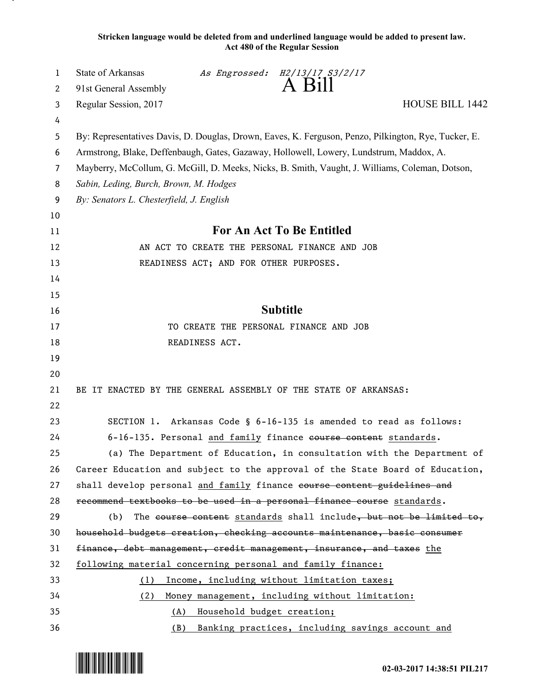**Stricken language would be deleted from and underlined language would be added to present law. Act 480 of the Regular Session**

| 1              | State of Arkansas<br>As Engrossed: H2/13/17 S3/2/17                                                  |  |  |  |  |
|----------------|------------------------------------------------------------------------------------------------------|--|--|--|--|
| 2              | A Bill<br>91st General Assembly                                                                      |  |  |  |  |
| 3              | HOUSE BILL 1442<br>Regular Session, 2017                                                             |  |  |  |  |
| 4              |                                                                                                      |  |  |  |  |
| 5              | By: Representatives Davis, D. Douglas, Drown, Eaves, K. Ferguson, Penzo, Pilkington, Rye, Tucker, E. |  |  |  |  |
| 6              | Armstrong, Blake, Deffenbaugh, Gates, Gazaway, Hollowell, Lowery, Lundstrum, Maddox, A.              |  |  |  |  |
| $\overline{7}$ | Mayberry, McCollum, G. McGill, D. Meeks, Nicks, B. Smith, Vaught, J. Williams, Coleman, Dotson,      |  |  |  |  |
| 8              | Sabin, Leding, Burch, Brown, M. Hodges                                                               |  |  |  |  |
| 9              | By: Senators L. Chesterfield, J. English                                                             |  |  |  |  |
| 10             |                                                                                                      |  |  |  |  |
| 11             | For An Act To Be Entitled                                                                            |  |  |  |  |
| 12             | AN ACT TO CREATE THE PERSONAL FINANCE AND JOB                                                        |  |  |  |  |
| 13             | READINESS ACT; AND FOR OTHER PURPOSES.                                                               |  |  |  |  |
| 14             |                                                                                                      |  |  |  |  |
| 15             |                                                                                                      |  |  |  |  |
| 16             | <b>Subtitle</b>                                                                                      |  |  |  |  |
| 17             | TO CREATE THE PERSONAL FINANCE AND JOB                                                               |  |  |  |  |
| 18             | READINESS ACT.                                                                                       |  |  |  |  |
| 19             |                                                                                                      |  |  |  |  |
| 20             |                                                                                                      |  |  |  |  |
| 21             | BE IT ENACTED BY THE GENERAL ASSEMBLY OF THE STATE OF ARKANSAS:                                      |  |  |  |  |
| 22             |                                                                                                      |  |  |  |  |
| 23             | SECTION 1. Arkansas Code § 6-16-135 is amended to read as follows:                                   |  |  |  |  |
| 24             | 6-16-135. Personal and family finance eourse content standards.                                      |  |  |  |  |
| 25             | (a) The Department of Education, in consultation with the Department of                              |  |  |  |  |
| 26             | Career Education and subject to the approval of the State Board of Education,                        |  |  |  |  |
| 27             | shall develop personal and family finance course content guidelines and                              |  |  |  |  |
| 28             | recommend textbooks to be used in a personal finance course standards.                               |  |  |  |  |
| 29             | The course content standards shall include, but not be limited to,<br>(b)                            |  |  |  |  |
| 30             | household budgets creation, checking accounts maintenance, basic consumer                            |  |  |  |  |
| 31             | finance, debt management, credit management, insurance, and taxes the                                |  |  |  |  |
| 32             | following material concerning personal and family finance:                                           |  |  |  |  |
| 33             | Income, including without limitation taxes;<br>(1)                                                   |  |  |  |  |
| 34             | (2)<br>Money management, including without limitation:                                               |  |  |  |  |
| 35             | Household budget creation;<br>(A)                                                                    |  |  |  |  |
| 36             | Banking practices, including savings account and<br>(B)                                              |  |  |  |  |

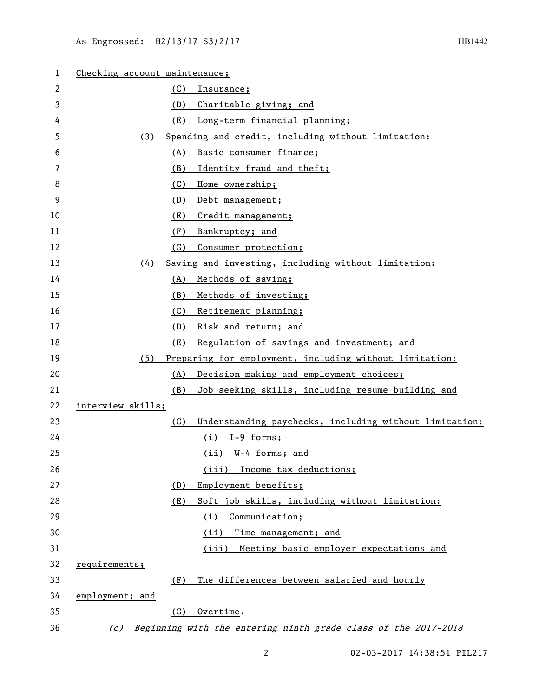| 1  | Checking account maintenance; |     |                                                                    |  |
|----|-------------------------------|-----|--------------------------------------------------------------------|--|
| 2  |                               | (C) | Insurance;                                                         |  |
| 3  |                               | (D) | Charitable giving; and                                             |  |
| 4  |                               | (E) | Long-term financial planning;                                      |  |
| 5  | (3)                           |     | Spending and credit, including without limitation:                 |  |
| 6  |                               | (A) | Basic consumer finance;                                            |  |
| 7  |                               | (B) | Identity fraud and theft;                                          |  |
| 8  |                               | (C) | Home ownership;                                                    |  |
| 9  |                               | (D) | Debt management;                                                   |  |
| 10 |                               | (E) | Credit management;                                                 |  |
| 11 |                               | (F) | Bankruptcy; and                                                    |  |
| 12 |                               | (G) | Consumer protection;                                               |  |
| 13 | (4)                           |     | Saving and investing, including without limitation:                |  |
| 14 |                               | (A) | Methods of saving;                                                 |  |
| 15 |                               | (B) | Methods of investing;                                              |  |
| 16 |                               | (C) | Retirement planning;                                               |  |
| 17 |                               | (D) | Risk and return; and                                               |  |
| 18 |                               | (E) | Regulation of savings and investment; and                          |  |
| 19 | (5)                           |     | Preparing for employment, including without limitation:            |  |
| 20 |                               | (A) | Decision making and employment choices;                            |  |
| 21 |                               | (B) | Job seeking skills, including resume building and                  |  |
| 22 | interview skills;             |     |                                                                    |  |
| 23 |                               | (C) | Understanding paychecks, including without limitation:             |  |
| 24 |                               |     | $(i)$ I-9 forms;                                                   |  |
| 25 |                               |     | (ii) W-4 forms; and                                                |  |
| 26 |                               |     | Income tax deductions;<br>(iii)                                    |  |
| 27 |                               | (D) | Employment benefits;                                               |  |
| 28 |                               | (E) | Soft job skills, including without limitation:                     |  |
| 29 |                               |     | (i)<br>Communication;                                              |  |
| 30 |                               |     | (ii)<br>Time management; and                                       |  |
| 31 |                               |     | (iii)<br>Meeting basic employer expectations and                   |  |
| 32 | requirements;                 |     |                                                                    |  |
| 33 |                               | (F) | The differences between salaried and hourly                        |  |
| 34 | employment; and               |     |                                                                    |  |
| 35 |                               | (G) | Overtime.                                                          |  |
| 36 |                               |     | (c) Beginning with the entering ninth grade class of the 2017-2018 |  |

2 02-03-2017 14:38:51 PIL217